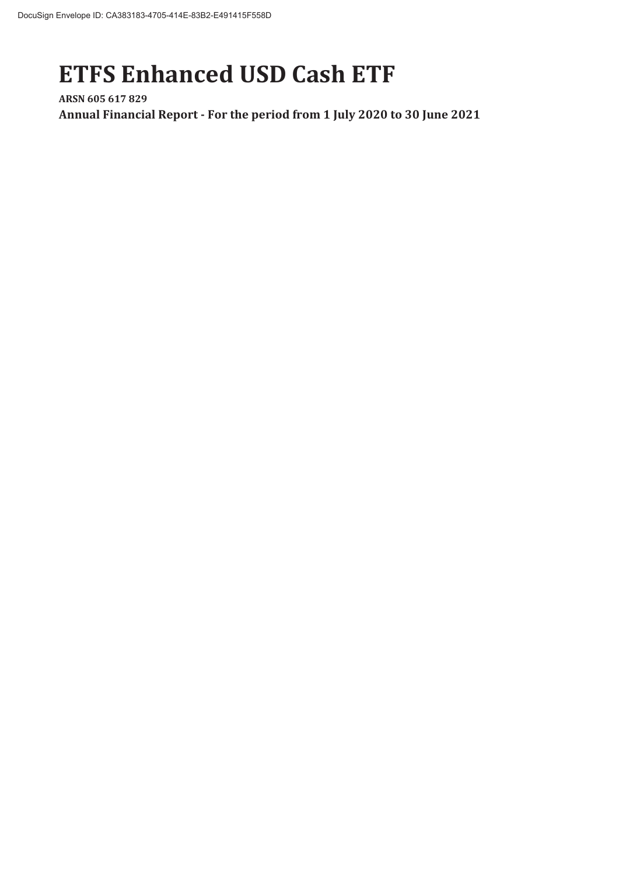# **ETFS Enhanced USD Cash ETF**

**ARSN 605 617 829 Annual Financial Report - For the period from 1 July 2020 to 30 June 2021**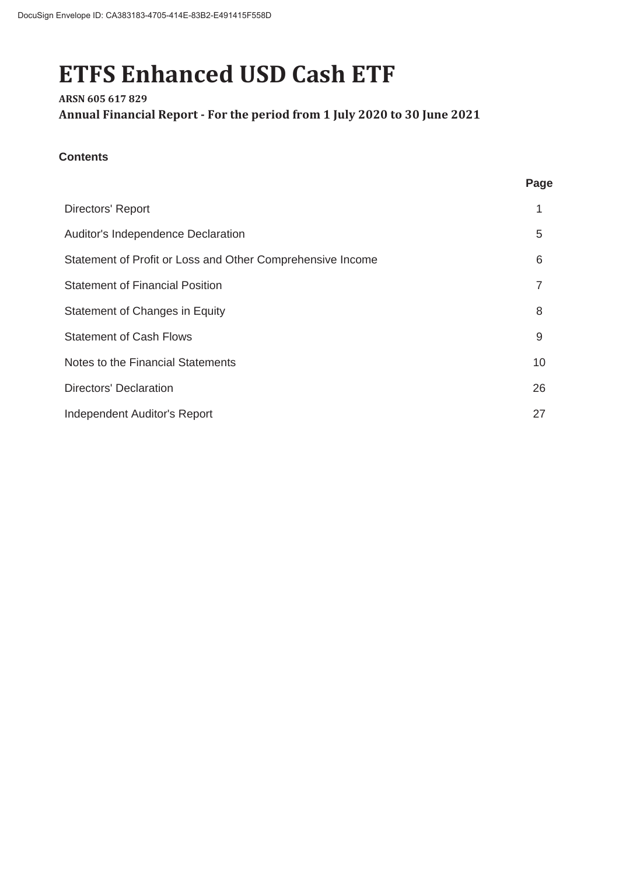# **ETFS Enhanced USD Cash ETF**

# **ARSN 605 617 829 Annual Financial Report - For the period from 1 July 2020 to 30 June 2021**

# **Contents**

| v<br>÷<br>٧<br>v<br>× |
|-----------------------|
|-----------------------|

| Directors' Report                                          |    |
|------------------------------------------------------------|----|
| Auditor's Independence Declaration                         | 5  |
| Statement of Profit or Loss and Other Comprehensive Income | 6  |
| <b>Statement of Financial Position</b>                     |    |
| Statement of Changes in Equity                             | 8  |
| <b>Statement of Cash Flows</b>                             | 9  |
| Notes to the Financial Statements                          | 10 |
| <b>Directors' Declaration</b>                              | 26 |
| Independent Auditor's Report                               | 27 |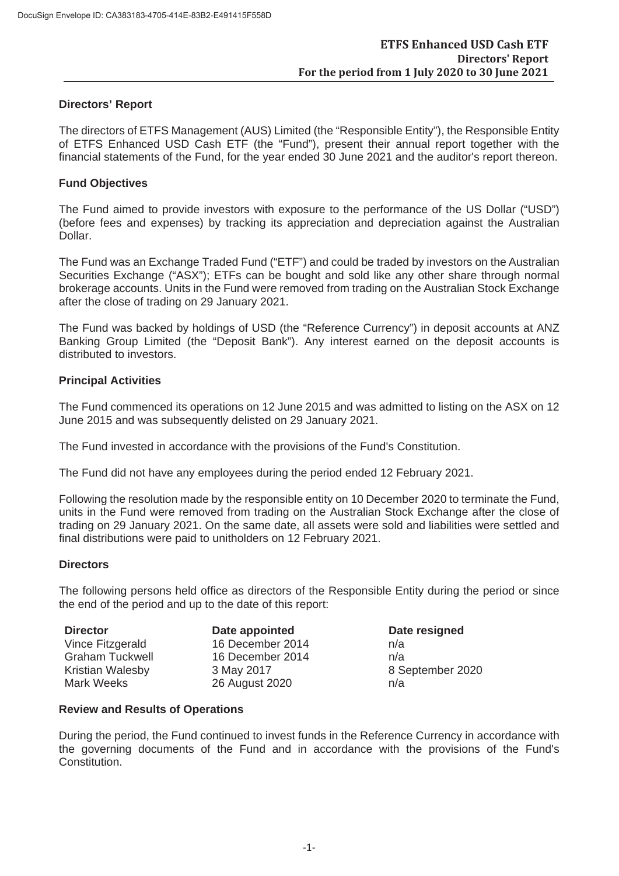#### **Directors' Report**

The directors of ETFS Management (AUS) Limited (the "Responsible Entity"), the Responsible Entity of ETFS Enhanced USD Cash ETF (the "Fund"), present their annual report together with the financial statements of the Fund, for the year ended 30 June 2021 and the auditor's report thereon.

#### **Fund Objectives**

The Fund aimed to provide investors with exposure to the performance of the US Dollar ("USD") (before fees and expenses) by tracking its appreciation and depreciation against the Australian Dollar.

The Fund was an Exchange Traded Fund ("ETF") and could be traded by investors on the Australian Securities Exchange ("ASX"); ETFs can be bought and sold like any other share through normal brokerage accounts. Units in the Fund were removed from trading on the Australian Stock Exchange after the close of trading on 29 January 2021.

The Fund was backed by holdings of USD (the "Reference Currency") in deposit accounts at ANZ Banking Group Limited (the "Deposit Bank"). Any interest earned on the deposit accounts is distributed to investors.

#### **Principal Activities**

The Fund commenced its operations on 12 June 2015 and was admitted to listing on the ASX on 12 June 2015 and was subsequently delisted on 29 January 2021.

The Fund invested in accordance with the provisions of the Fund's Constitution.

The Fund did not have any employees during the period ended 12 February 2021.

Following the resolution made by the responsible entity on 10 December 2020 to terminate the Fund, units in the Fund were removed from trading on the Australian Stock Exchange after the close of trading on 29 January 2021. On the same date, all assets were sold and liabilities were settled and final distributions were paid to unitholders on 12 February 2021.

#### **Directors**

The following persons held office as directors of the Responsible Entity during the period or since the end of the period and up to the date of this report:

**Director Date appointed Date resigned** 16 December 2014 **n/a**  $16$  December 2014  $n/a$ 3 May 2017 8 September 2020 26 August 2020 n/a

#### **Review and Results of Operations**

During the period, the Fund continued to invest funds in the Reference Currency in accordance with the governing documents of the Fund and in accordance with the provisions of the Fund's Constitution.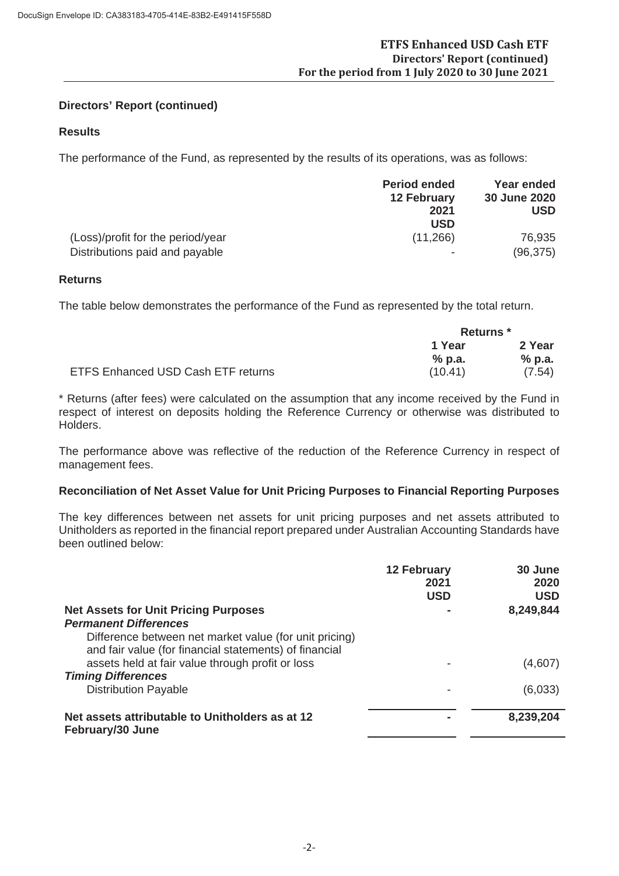#### **Directors' Report (continued)**

# **Results**

The performance of the Fund, as represented by the results of its operations, was as follows:

|                                   | <b>Period ended</b><br><b>12 February</b> | Year ended<br>30 June 2020 |
|-----------------------------------|-------------------------------------------|----------------------------|
|                                   | 2021<br><b>USD</b>                        | <b>USD</b>                 |
| (Loss)/profit for the period/year | (11, 266)                                 | 76,935                     |
| Distributions paid and payable    |                                           | (96, 375)                  |

#### **Returns**

The table below demonstrates the performance of the Fund as represented by the total return.

|                                           | <b>Returns</b> * |          |
|-------------------------------------------|------------------|----------|
|                                           | 1 Year           | 2 Year   |
|                                           | $%$ p.a.         | $%$ p.a. |
| <b>ETFS Enhanced USD Cash ETF returns</b> | (10.41)          | (7.54)   |

\* Returns (after fees) were calculated on the assumption that any income received by the Fund in respect of interest on deposits holding the Reference Currency or otherwise was distributed to Holders.

The performance above was reflective of the reduction of the Reference Currency in respect of management fees.

#### **Reconciliation of Net Asset Value for Unit Pricing Purposes to Financial Reporting Purposes**

The key differences between net assets for unit pricing purposes and net assets attributed to Unitholders as reported in the financial report prepared under Australian Accounting Standards have been outlined below:

|                                                                                                                  | <b>12 February</b><br>2021<br><b>USD</b> | 30 June<br>2020<br><b>USD</b> |
|------------------------------------------------------------------------------------------------------------------|------------------------------------------|-------------------------------|
| <b>Net Assets for Unit Pricing Purposes</b>                                                                      |                                          | 8,249,844                     |
| <b>Permanent Differences</b>                                                                                     |                                          |                               |
| Difference between net market value (for unit pricing)<br>and fair value (for financial statements) of financial |                                          |                               |
| assets held at fair value through profit or loss                                                                 |                                          | (4,607)                       |
| <b>Timing Differences</b>                                                                                        |                                          |                               |
| <b>Distribution Payable</b>                                                                                      |                                          | (6,033)                       |
| Net assets attributable to Unitholders as at 12<br>February/30 June                                              |                                          | 8,239,204                     |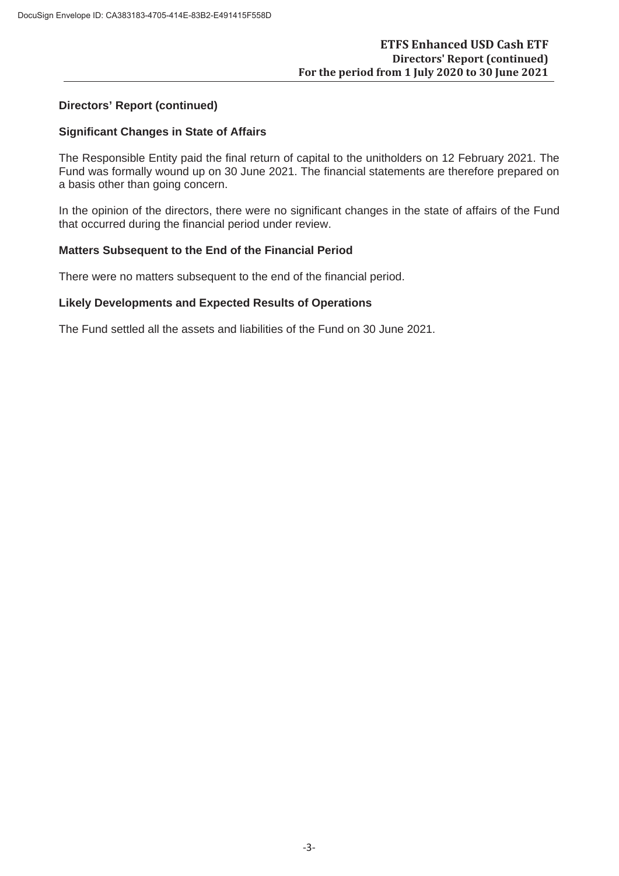#### **Directors' Report (continued)**

#### **Significant Changes in State of Affairs**

The Responsible Entity paid the final return of capital to the unitholders on 12 February 2021. The Fund was formally wound up on 30 June 2021. The financial statements are therefore prepared on a basis other than going concern.

In the opinion of the directors, there were no significant changes in the state of affairs of the Fund that occurred during the financial period under review.

# **Matters Subsequent to the End of the Financial Period**

There were no matters subsequent to the end of the financial period.

#### **Likely Developments and Expected Results of Operations**

The Fund settled all the assets and liabilities of the Fund on 30 June 2021.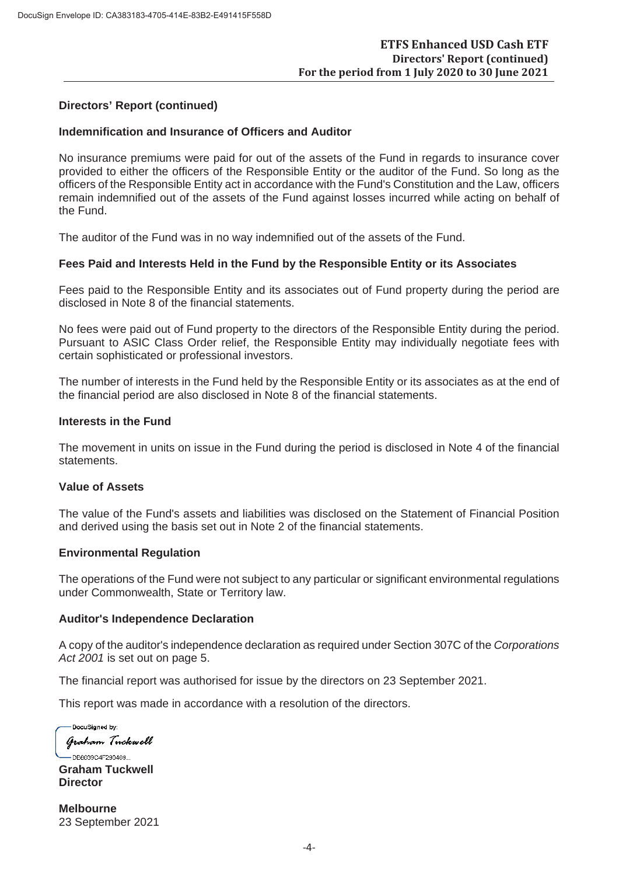#### **Directors' Report (continued)**

#### **Indemnification and Insurance of Officers and Auditor**

No insurance premiums were paid for out of the assets of the Fund in regards to insurance cover provided to either the officers of the Responsible Entity or the auditor of the Fund. So long as the officers of the Responsible Entity act in accordance with the Fund's Constitution and the Law, officers remain indemnified out of the assets of the Fund against losses incurred while acting on behalf of the Fund.

The auditor of the Fund was in no way indemnified out of the assets of the Fund.

#### **Fees Paid and Interests Held in the Fund by the Responsible Entity or its Associates**

Fees paid to the Responsible Entity and its associates out of Fund property during the period are disclosed in Note 8 of the financial statements.

No fees were paid out of Fund property to the directors of the Responsible Entity during the period. Pursuant to ASIC Class Order relief, the Responsible Entity may individually negotiate fees with certain sophisticated or professional investors.

The number of interests in the Fund held by the Responsible Entity or its associates as at the end of the financial period are also disclosed in Note 8 of the financial statements.

#### **Interests in the Fund**

The movement in units on issue in the Fund during the period is disclosed in Note 4 of the financial statements.

#### **Value of Assets**

The value of the Fund's assets and liabilities was disclosed on the Statement of Financial Position and derived using the basis set out in Note 2 of the financial statements.

#### **Environmental Regulation**

The operations of the Fund were not subject to any particular or significant environmental regulations under Commonwealth, State or Territory law.

#### **Auditor's Independence Declaration**

A copy of the auditor's independence declaration as required under Section 307C of the *Corporations Act 2001* is set out on page 5.

The financial report was authorised for issue by the directors on 23 September 2021.

This report was made in accordance with a resolution of the directors.

DocuSigned by: Graham Tuckwell

-DB8639C4F290469... **Graham Tuckwell Director**

**Melbourne** 23 September 2021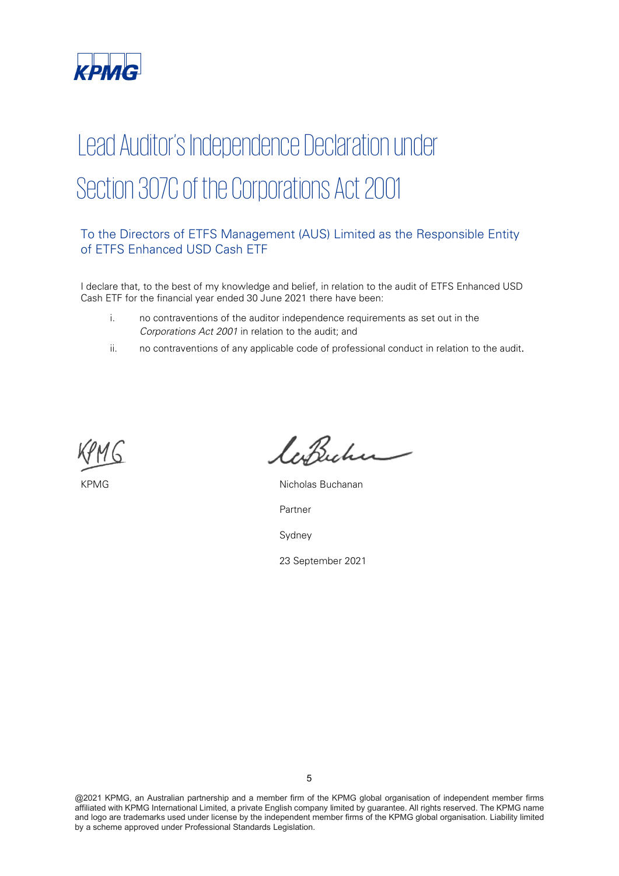

# Lead Auditor's Independence Declaration under Section 307C of the Corporations Act 2001

# To the Directors of ETFS Management (AUS) Limited as the Responsible Entity of ETFS Enhanced USD Cash ETF

I declare that, to the best of my knowledge and belief, in relation to the audit of ETFS Enhanced USD Cash ETF for the financial year ended 30 June 2021 there have been:

- i. no contraventions of the auditor independence requirements as set out in the Corporations Act 2001 in relation to the audit; and
- ii. no contraventions of any applicable code of professional conduct in relation to the audit.



laBucher

KPMG Nicholas Buchanan

Partner

Sydney

23 September 2021

@2021 KPMG, an Australian partnership and a member firm of the KPMG global organisation of independent member firms affiliated with KPMG International Limited, a private English company limited by guarantee. All rights reserved. The KPMG name and logo are trademarks used under license by the independent member firms of the KPMG global organisation. Liability limited by a scheme approved under Professional Standards Legislation.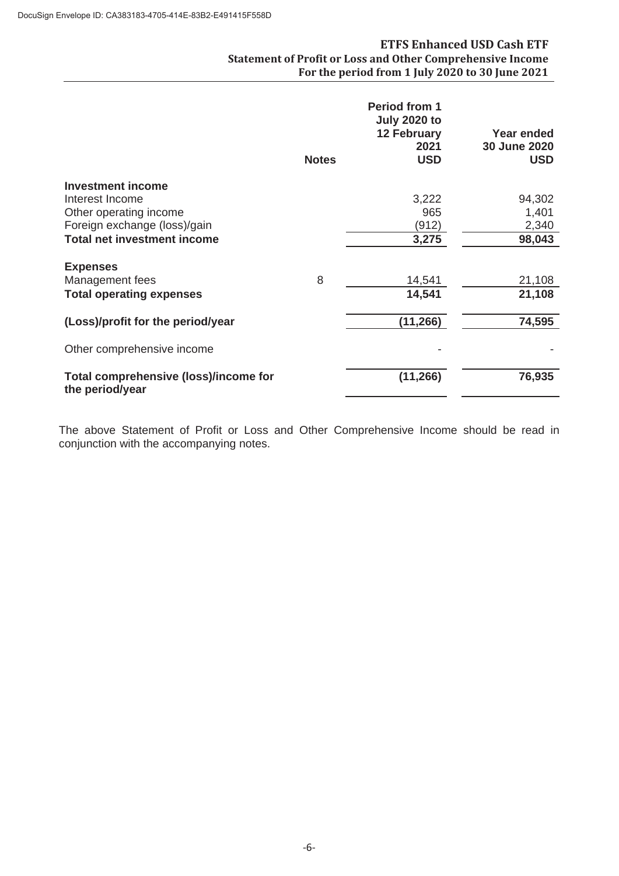#### **ETFS Enhanced USD Cash ETF Statement of Profit or Loss and Other Comprehensive Income For the period from 1 July 2020 to 30 June 2021**

|                                       | <b>Notes</b> | <b>Period from 1</b><br><b>July 2020 to</b><br><b>12 February</b><br>2021<br><b>USD</b> | <b>Year ended</b><br>30 June 2020<br><b>USD</b> |
|---------------------------------------|--------------|-----------------------------------------------------------------------------------------|-------------------------------------------------|
| <b>Investment income</b>              |              |                                                                                         |                                                 |
| Interest Income                       |              | 3,222                                                                                   | 94,302                                          |
| Other operating income                |              | 965                                                                                     | 1,401                                           |
| Foreign exchange (loss)/gain          |              | (912)                                                                                   | 2,340                                           |
| <b>Total net investment income</b>    |              | 3,275                                                                                   | 98,043                                          |
| <b>Expenses</b>                       |              |                                                                                         |                                                 |
| Management fees                       | 8            | 14,541                                                                                  | 21,108                                          |
| <b>Total operating expenses</b>       |              | 14,541                                                                                  | 21,108                                          |
| (Loss)/profit for the period/year     |              | (11, 266)                                                                               | 74,595                                          |
| Other comprehensive income            |              |                                                                                         |                                                 |
| Total comprehensive (loss)/income for |              | (11, 266)                                                                               | 76,935                                          |
| the period/year                       |              |                                                                                         |                                                 |

The above Statement of Profit or Loss and Other Comprehensive Income should be read in conjunction with the accompanying notes.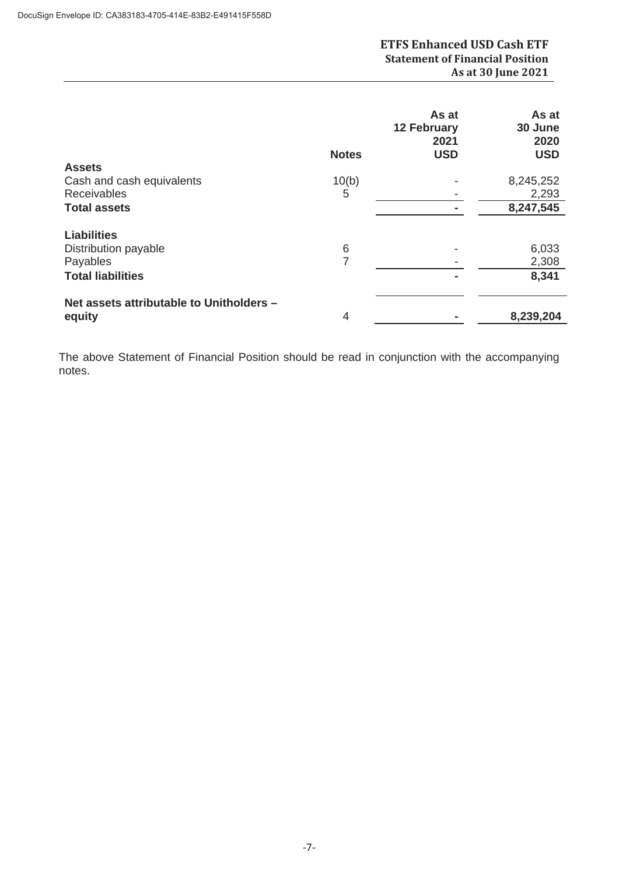|                                          | <b>Notes</b> | As at<br><b>12 February</b><br>2021<br><b>USD</b> | As at<br>30 June<br>2020<br><b>USD</b> |
|------------------------------------------|--------------|---------------------------------------------------|----------------------------------------|
| <b>Assets</b>                            |              |                                                   |                                        |
| Cash and cash equivalents                | 10(b)        |                                                   | 8,245,252                              |
| <b>Receivables</b>                       | 5            |                                                   | 2,293                                  |
| <b>Total assets</b>                      |              |                                                   | 8,247,545                              |
| <b>Liabilities</b>                       |              |                                                   |                                        |
| Distribution payable                     | 6            |                                                   | 6,033                                  |
| Payables                                 | 7            |                                                   | 2,308                                  |
| <b>Total liabilities</b>                 |              | ۰                                                 | 8,341                                  |
| Net assets attributable to Unitholders - | 4            |                                                   | 8,239,204                              |
| equity                                   |              |                                                   |                                        |

The above Statement of Financial Position should be read in conjunction with the accompanying notes.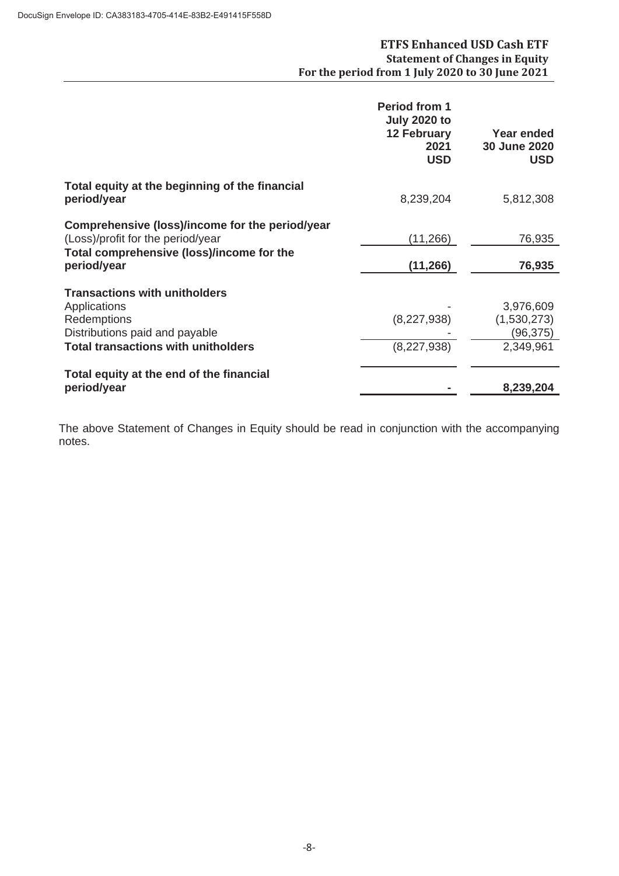|                                                                                                                                                     | <b>Period from 1</b><br><b>July 2020 to</b><br><b>12 February</b><br>2021<br><b>USD</b> | <b>Year ended</b><br>30 June 2020<br><b>USD</b>   |
|-----------------------------------------------------------------------------------------------------------------------------------------------------|-----------------------------------------------------------------------------------------|---------------------------------------------------|
| Total equity at the beginning of the financial<br>period/year                                                                                       | 8,239,204                                                                               | 5,812,308                                         |
| Comprehensive (loss)/income for the period/year<br>(Loss)/profit for the period/year<br>Total comprehensive (loss)/income for the<br>period/year    | (11,266)<br>(11, 266)                                                                   | 76,935<br>76,935                                  |
| <b>Transactions with unitholders</b><br>Applications<br>Redemptions<br>Distributions paid and payable<br><b>Total transactions with unitholders</b> | (8,227,938)<br>(8,227,938)                                                              | 3,976,609<br>(1,530,273)<br>(96,375)<br>2,349,961 |
| Total equity at the end of the financial<br>period/year                                                                                             |                                                                                         | 8,239,204                                         |

The above Statement of Changes in Equity should be read in conjunction with the accompanying notes.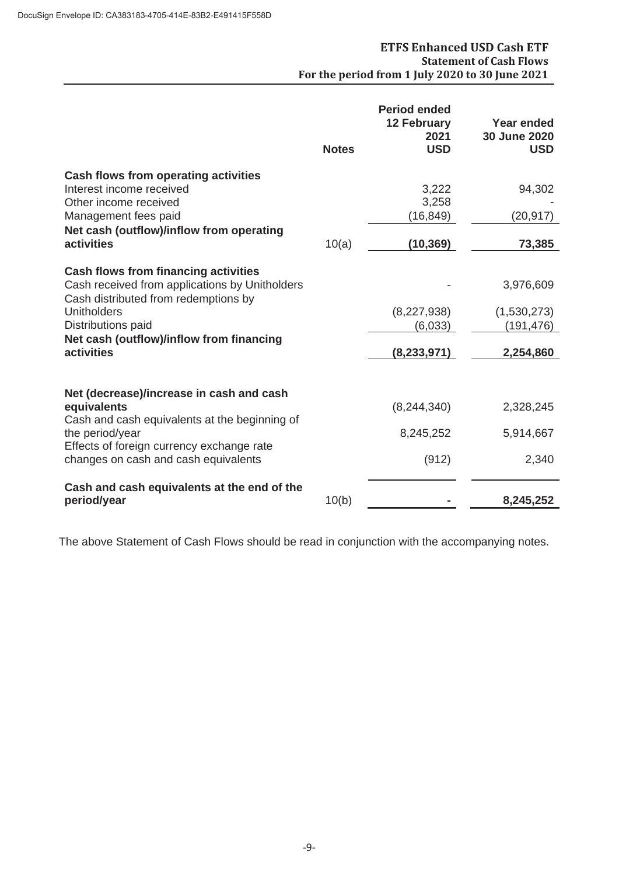# **ETFS Enhanced USD Cash ETF Statement of Cash Flows For the period from 1 July 2020 to 30 June 2021**

|                                                                                                                                                                                                                                             | <b>Notes</b> | <b>Period ended</b><br><b>12 February</b><br>2021<br><b>USD</b> | <b>Year ended</b><br>30 June 2020<br><b>USD</b>     |
|---------------------------------------------------------------------------------------------------------------------------------------------------------------------------------------------------------------------------------------------|--------------|-----------------------------------------------------------------|-----------------------------------------------------|
| <b>Cash flows from operating activities</b><br>Interest income received<br>Other income received<br>Management fees paid                                                                                                                    |              | 3,222<br>3,258<br>(16, 849)                                     | 94,302<br>(20, 917)                                 |
| Net cash (outflow)/inflow from operating<br>activities                                                                                                                                                                                      | 10(a)        | (10, 369)                                                       | 73,385                                              |
| <b>Cash flows from financing activities</b><br>Cash received from applications by Unitholders<br>Cash distributed from redemptions by<br><b>Unitholders</b><br>Distributions paid<br>Net cash (outflow)/inflow from financing<br>activities |              | (8,227,938)<br>(6,033)<br>(8, 233, 971)                         | 3,976,609<br>(1,530,273)<br>(191, 476)<br>2,254,860 |
| Net (decrease)/increase in cash and cash<br>equivalents<br>Cash and cash equivalents at the beginning of<br>the period/year<br>Effects of foreign currency exchange rate<br>changes on cash and cash equivalents                            |              | (8, 244, 340)<br>8,245,252<br>(912)                             | 2,328,245<br>5,914,667<br>2,340                     |
| Cash and cash equivalents at the end of the<br>period/year                                                                                                                                                                                  | 10(b)        |                                                                 | 8,245,252                                           |

The above Statement of Cash Flows should be read in conjunction with the accompanying notes.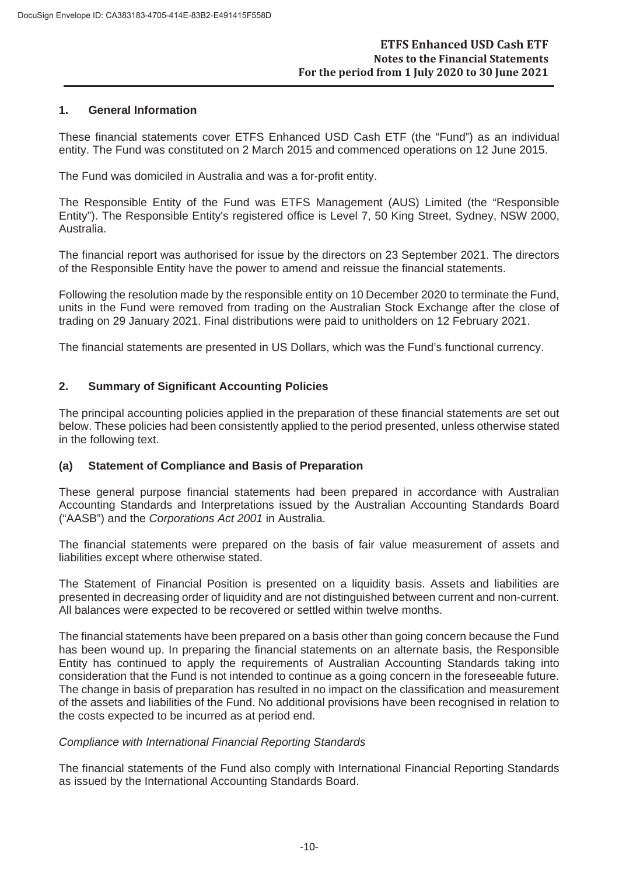#### **1. General Information**

These financial statements cover ETFS Enhanced USD Cash ETF (the "Fund") as an individual entity. The Fund was constituted on 2 March 2015 and commenced operations on 12 June 2015.

The Fund was domiciled in Australia and was a for-profit entity.

The Responsible Entity of the Fund was ETFS Management (AUS) Limited (the "Responsible Entity"). The Responsible Entity's registered office is Level 7, 50 King Street, Sydney, NSW 2000, Australia.

The financial report was authorised for issue by the directors on 23 September 2021. The directors of the Responsible Entity have the power to amend and reissue the financial statements.

Following the resolution made by the responsible entity on 10 December 2020 to terminate the Fund, units in the Fund were removed from trading on the Australian Stock Exchange after the close of trading on 29 January 2021. Final distributions were paid to unitholders on 12 February 2021.

The financial statements are presented in US Dollars, which was the Fund's functional currency.

# **2. Summary of Significant Accounting Policies**

The principal accounting policies applied in the preparation of these financial statements are set out below. These policies had been consistently applied to the period presented, unless otherwise stated in the following text.

#### **(a) Statement of Compliance and Basis of Preparation**

These general purpose financial statements had been prepared in accordance with Australian Accounting Standards and Interpretations issued by the Australian Accounting Standards Board ("AASB") and the *Corporations Act 2001* in Australia.

The financial statements were prepared on the basis of fair value measurement of assets and liabilities except where otherwise stated.

The Statement of Financial Position is presented on a liquidity basis. Assets and liabilities are presented in decreasing order of liquidity and are not distinguished between current and non-current. All balances were expected to be recovered or settled within twelve months.

The financial statements have been prepared on a basis other than going concern because the Fund has been wound up. In preparing the financial statements on an alternate basis, the Responsible Entity has continued to apply the requirements of Australian Accounting Standards taking into consideration that the Fund is not intended to continue as a going concern in the foreseeable future. The change in basis of preparation has resulted in no impact on the classification and measurement of the assets and liabilities of the Fund. No additional provisions have been recognised in relation to the costs expected to be incurred as at period end.

#### *Compliance with International Financial Reporting Standards*

The financial statements of the Fund also comply with International Financial Reporting Standards as issued by the International Accounting Standards Board.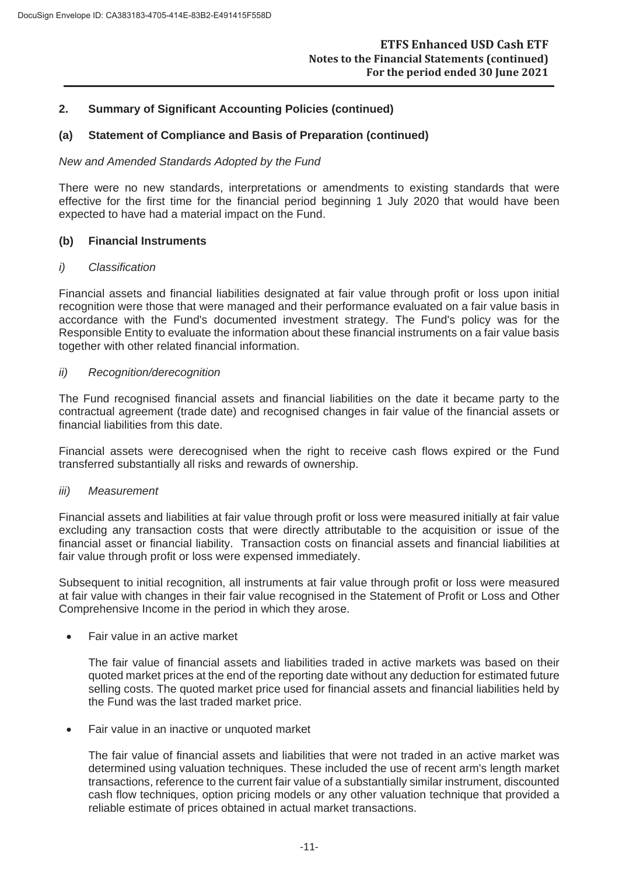#### **(a) Statement of Compliance and Basis of Preparation (continued)**

#### *New and Amended Standards Adopted by the Fund*

There were no new standards, interpretations or amendments to existing standards that were effective for the first time for the financial period beginning 1 July 2020 that would have been expected to have had a material impact on the Fund.

#### **(b) Financial Instruments**

#### *i) Classification*

Financial assets and financial liabilities designated at fair value through profit or loss upon initial recognition were those that were managed and their performance evaluated on a fair value basis in accordance with the Fund's documented investment strategy. The Fund's policy was for the Responsible Entity to evaluate the information about these financial instruments on a fair value basis together with other related financial information.

#### *ii) Recognition/derecognition*

The Fund recognised financial assets and financial liabilities on the date it became party to the contractual agreement (trade date) and recognised changes in fair value of the financial assets or financial liabilities from this date.

Financial assets were derecognised when the right to receive cash flows expired or the Fund transferred substantially all risks and rewards of ownership.

#### *iii) Measurement*

Financial assets and liabilities at fair value through profit or loss were measured initially at fair value excluding any transaction costs that were directly attributable to the acquisition or issue of the financial asset or financial liability. Transaction costs on financial assets and financial liabilities at fair value through profit or loss were expensed immediately.

Subsequent to initial recognition, all instruments at fair value through profit or loss were measured at fair value with changes in their fair value recognised in the Statement of Profit or Loss and Other Comprehensive Income in the period in which they arose.

Fair value in an active market

The fair value of financial assets and liabilities traded in active markets was based on their quoted market prices at the end of the reporting date without any deduction for estimated future selling costs. The quoted market price used for financial assets and financial liabilities held by the Fund was the last traded market price.

Fair value in an inactive or unquoted market

The fair value of financial assets and liabilities that were not traded in an active market was determined using valuation techniques. These included the use of recent arm's length market transactions, reference to the current fair value of a substantially similar instrument, discounted cash flow techniques, option pricing models or any other valuation technique that provided a reliable estimate of prices obtained in actual market transactions.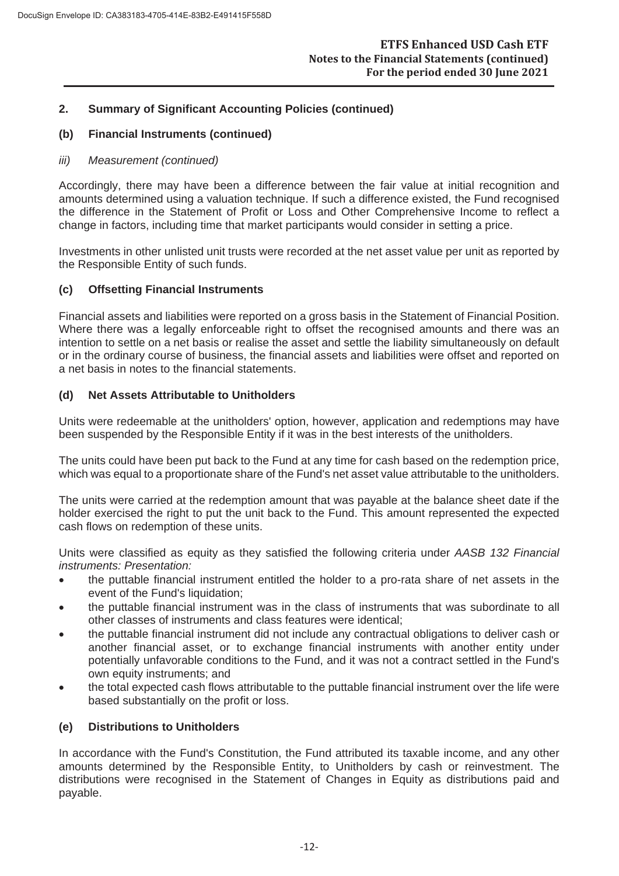# **(b) Financial Instruments (continued)**

#### *iii) Measurement (continued)*

Accordingly, there may have been a difference between the fair value at initial recognition and amounts determined using a valuation technique. If such a difference existed, the Fund recognised the difference in the Statement of Profit or Loss and Other Comprehensive Income to reflect a change in factors, including time that market participants would consider in setting a price.

Investments in other unlisted unit trusts were recorded at the net asset value per unit as reported by the Responsible Entity of such funds.

# **(c) Offsetting Financial Instruments**

Financial assets and liabilities were reported on a gross basis in the Statement of Financial Position. Where there was a legally enforceable right to offset the recognised amounts and there was an intention to settle on a net basis or realise the asset and settle the liability simultaneously on default or in the ordinary course of business, the financial assets and liabilities were offset and reported on a net basis in notes to the financial statements.

# **(d) Net Assets Attributable to Unitholders**

Units were redeemable at the unitholders' option, however, application and redemptions may have been suspended by the Responsible Entity if it was in the best interests of the unitholders.

The units could have been put back to the Fund at any time for cash based on the redemption price, which was equal to a proportionate share of the Fund's net asset value attributable to the unitholders.

The units were carried at the redemption amount that was payable at the balance sheet date if the holder exercised the right to put the unit back to the Fund. This amount represented the expected cash flows on redemption of these units.

Units were classified as equity as they satisfied the following criteria under *AASB 132 Financial instruments: Presentation:*

- the puttable financial instrument entitled the holder to a pro-rata share of net assets in the event of the Fund's liquidation:
- the puttable financial instrument was in the class of instruments that was subordinate to all other classes of instruments and class features were identical;
- the puttable financial instrument did not include any contractual obligations to deliver cash or another financial asset, or to exchange financial instruments with another entity under potentially unfavorable conditions to the Fund, and it was not a contract settled in the Fund's own equity instruments; and
- the total expected cash flows attributable to the puttable financial instrument over the life were based substantially on the profit or loss.

#### **(e) Distributions to Unitholders**

In accordance with the Fund's Constitution, the Fund attributed its taxable income, and any other amounts determined by the Responsible Entity, to Unitholders by cash or reinvestment. The distributions were recognised in the Statement of Changes in Equity as distributions paid and payable.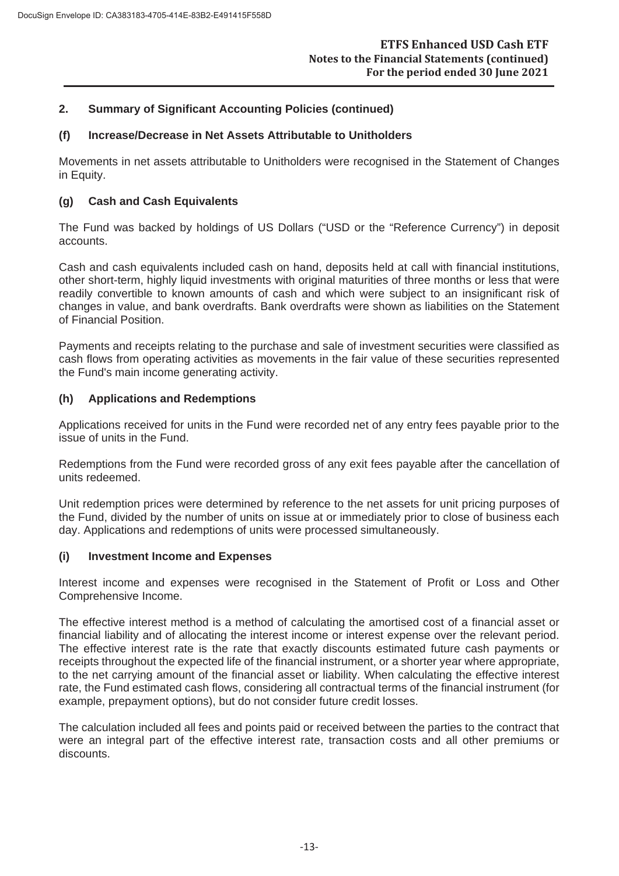#### **(f) Increase/Decrease in Net Assets Attributable to Unitholders**

Movements in net assets attributable to Unitholders were recognised in the Statement of Changes in Equity.

# **(g) Cash and Cash Equivalents**

The Fund was backed by holdings of US Dollars ("USD or the "Reference Currency") in deposit accounts.

Cash and cash equivalents included cash on hand, deposits held at call with financial institutions, other short-term, highly liquid investments with original maturities of three months or less that were readily convertible to known amounts of cash and which were subject to an insignificant risk of changes in value, and bank overdrafts. Bank overdrafts were shown as liabilities on the Statement of Financial Position.

Payments and receipts relating to the purchase and sale of investment securities were classified as cash flows from operating activities as movements in the fair value of these securities represented the Fund's main income generating activity.

# **(h) Applications and Redemptions**

Applications received for units in the Fund were recorded net of any entry fees payable prior to the issue of units in the Fund.

Redemptions from the Fund were recorded gross of any exit fees payable after the cancellation of units redeemed.

Unit redemption prices were determined by reference to the net assets for unit pricing purposes of the Fund, divided by the number of units on issue at or immediately prior to close of business each day. Applications and redemptions of units were processed simultaneously.

#### **(i) Investment Income and Expenses**

Interest income and expenses were recognised in the Statement of Profit or Loss and Other Comprehensive Income.

The effective interest method is a method of calculating the amortised cost of a financial asset or financial liability and of allocating the interest income or interest expense over the relevant period. The effective interest rate is the rate that exactly discounts estimated future cash payments or receipts throughout the expected life of the financial instrument, or a shorter year where appropriate, to the net carrying amount of the financial asset or liability. When calculating the effective interest rate, the Fund estimated cash flows, considering all contractual terms of the financial instrument (for example, prepayment options), but do not consider future credit losses.

The calculation included all fees and points paid or received between the parties to the contract that were an integral part of the effective interest rate, transaction costs and all other premiums or discounts.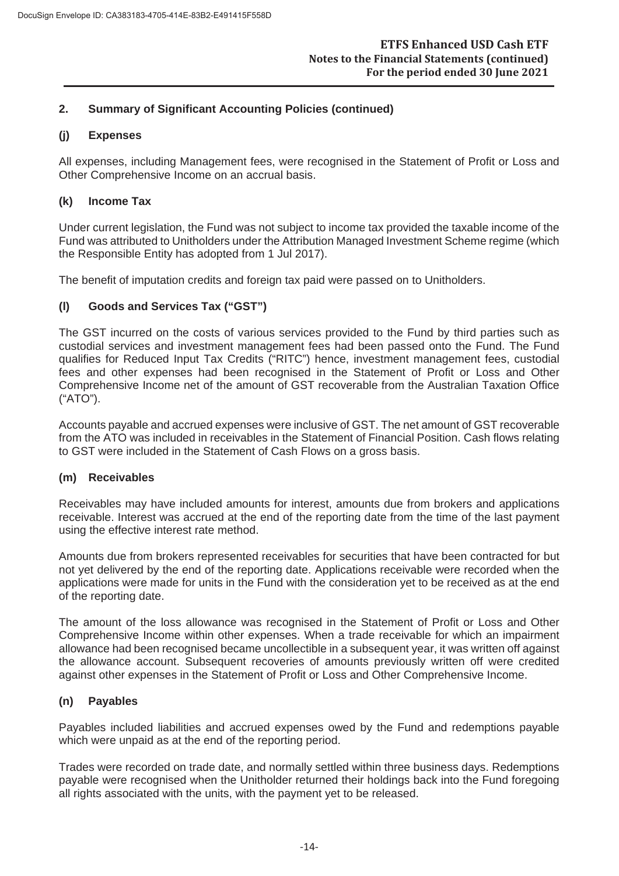# **(j) Expenses**

All expenses, including Management fees, were recognised in the Statement of Profit or Loss and Other Comprehensive Income on an accrual basis.

# **(k) Income Tax**

Under current legislation, the Fund was not subject to income tax provided the taxable income of the Fund was attributed to Unitholders under the Attribution Managed Investment Scheme regime (which the Responsible Entity has adopted from 1 Jul 2017).

The benefit of imputation credits and foreign tax paid were passed on to Unitholders.

# **(l) Goods and Services Tax ("GST")**

The GST incurred on the costs of various services provided to the Fund by third parties such as custodial services and investment management fees had been passed onto the Fund. The Fund qualifies for Reduced Input Tax Credits ("RITC") hence, investment management fees, custodial fees and other expenses had been recognised in the Statement of Profit or Loss and Other Comprehensive Income net of the amount of GST recoverable from the Australian Taxation Office ("ATO").

Accounts payable and accrued expenses were inclusive of GST. The net amount of GST recoverable from the ATO was included in receivables in the Statement of Financial Position. Cash flows relating to GST were included in the Statement of Cash Flows on a gross basis.

#### **(m) Receivables**

Receivables may have included amounts for interest, amounts due from brokers and applications receivable. Interest was accrued at the end of the reporting date from the time of the last payment using the effective interest rate method.

Amounts due from brokers represented receivables for securities that have been contracted for but not yet delivered by the end of the reporting date. Applications receivable were recorded when the applications were made for units in the Fund with the consideration yet to be received as at the end of the reporting date.

The amount of the loss allowance was recognised in the Statement of Profit or Loss and Other Comprehensive Income within other expenses. When a trade receivable for which an impairment allowance had been recognised became uncollectible in a subsequent year, it was written off against the allowance account. Subsequent recoveries of amounts previously written off were credited against other expenses in the Statement of Profit or Loss and Other Comprehensive Income.

#### **(n) Payables**

Payables included liabilities and accrued expenses owed by the Fund and redemptions payable which were unpaid as at the end of the reporting period.

Trades were recorded on trade date, and normally settled within three business days. Redemptions payable were recognised when the Unitholder returned their holdings back into the Fund foregoing all rights associated with the units, with the payment yet to be released.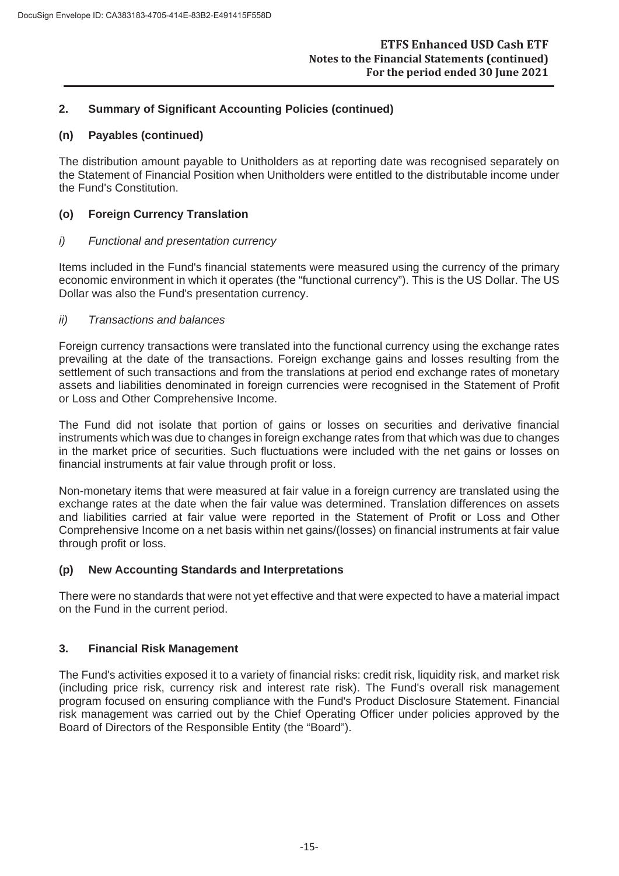#### **(n) Payables (continued)**

The distribution amount payable to Unitholders as at reporting date was recognised separately on the Statement of Financial Position when Unitholders were entitled to the distributable income under the Fund's Constitution.

#### **(o) Foreign Currency Translation**

#### *i) Functional and presentation currency*

Items included in the Fund's financial statements were measured using the currency of the primary economic environment in which it operates (the "functional currency"). This is the US Dollar. The US Dollar was also the Fund's presentation currency.

#### *ii) Transactions and balances*

Foreign currency transactions were translated into the functional currency using the exchange rates prevailing at the date of the transactions. Foreign exchange gains and losses resulting from the settlement of such transactions and from the translations at period end exchange rates of monetary assets and liabilities denominated in foreign currencies were recognised in the Statement of Profit or Loss and Other Comprehensive Income.

The Fund did not isolate that portion of gains or losses on securities and derivative financial instruments which was due to changes in foreign exchange rates from that which was due to changes in the market price of securities. Such fluctuations were included with the net gains or losses on financial instruments at fair value through profit or loss.

Non-monetary items that were measured at fair value in a foreign currency are translated using the exchange rates at the date when the fair value was determined. Translation differences on assets and liabilities carried at fair value were reported in the Statement of Profit or Loss and Other Comprehensive Income on a net basis within net gains/(losses) on financial instruments at fair value through profit or loss.

#### **(p) New Accounting Standards and Interpretations**

There were no standards that were not yet effective and that were expected to have a material impact on the Fund in the current period.

# **3. Financial Risk Management**

The Fund's activities exposed it to a variety of financial risks: credit risk, liquidity risk, and market risk (including price risk, currency risk and interest rate risk). The Fund's overall risk management program focused on ensuring compliance with the Fund's Product Disclosure Statement. Financial risk management was carried out by the Chief Operating Officer under policies approved by the Board of Directors of the Responsible Entity (the "Board").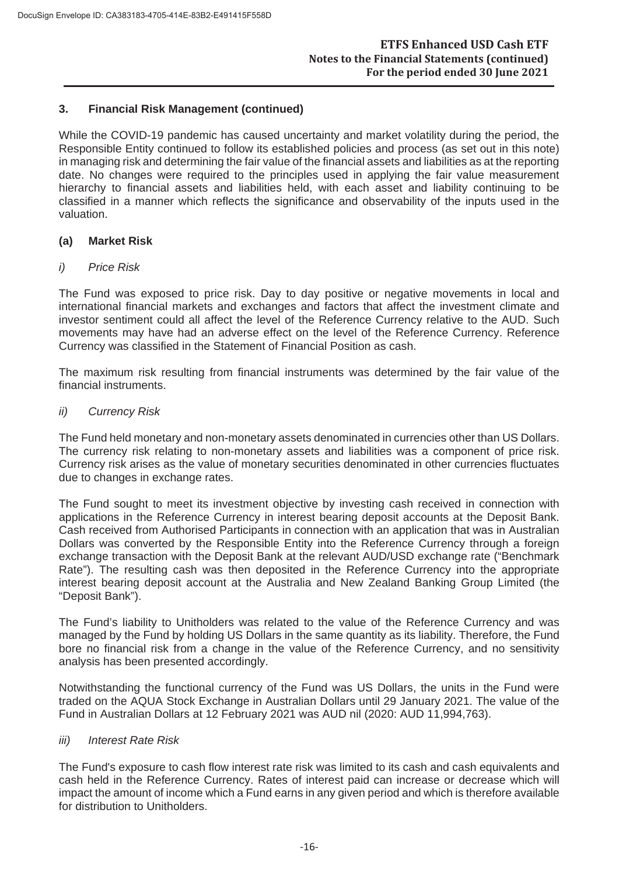While the COVID-19 pandemic has caused uncertainty and market volatility during the period, the Responsible Entity continued to follow its established policies and process (as set out in this note) in managing risk and determining the fair value of the financial assets and liabilities as at the reporting date. No changes were required to the principles used in applying the fair value measurement hierarchy to financial assets and liabilities held, with each asset and liability continuing to be classified in a manner which reflects the significance and observability of the inputs used in the valuation.

#### **(a) Market Risk**

#### *i) Price Risk*

The Fund was exposed to price risk. Day to day positive or negative movements in local and international financial markets and exchanges and factors that affect the investment climate and investor sentiment could all affect the level of the Reference Currency relative to the AUD. Such movements may have had an adverse effect on the level of the Reference Currency. Reference Currency was classified in the Statement of Financial Position as cash.

The maximum risk resulting from financial instruments was determined by the fair value of the financial instruments.

#### *ii) Currency Risk*

The Fund held monetary and non-monetary assets denominated in currencies other than US Dollars. The currency risk relating to non-monetary assets and liabilities was a component of price risk. Currency risk arises as the value of monetary securities denominated in other currencies fluctuates due to changes in exchange rates.

The Fund sought to meet its investment objective by investing cash received in connection with applications in the Reference Currency in interest bearing deposit accounts at the Deposit Bank. Cash received from Authorised Participants in connection with an application that was in Australian Dollars was converted by the Responsible Entity into the Reference Currency through a foreign exchange transaction with the Deposit Bank at the relevant AUD/USD exchange rate ("Benchmark Rate"). The resulting cash was then deposited in the Reference Currency into the appropriate interest bearing deposit account at the Australia and New Zealand Banking Group Limited (the "Deposit Bank").

The Fund's liability to Unitholders was related to the value of the Reference Currency and was managed by the Fund by holding US Dollars in the same quantity as its liability. Therefore, the Fund bore no financial risk from a change in the value of the Reference Currency, and no sensitivity analysis has been presented accordingly.

Notwithstanding the functional currency of the Fund was US Dollars, the units in the Fund were traded on the AQUA Stock Exchange in Australian Dollars until 29 January 2021. The value of the Fund in Australian Dollars at 12 February 2021 was AUD nil (2020: AUD 11,994,763).

#### *iii) Interest Rate Risk*

The Fund's exposure to cash flow interest rate risk was limited to its cash and cash equivalents and cash held in the Reference Currency. Rates of interest paid can increase or decrease which will impact the amount of income which a Fund earns in any given period and which is therefore available for distribution to Unitholders.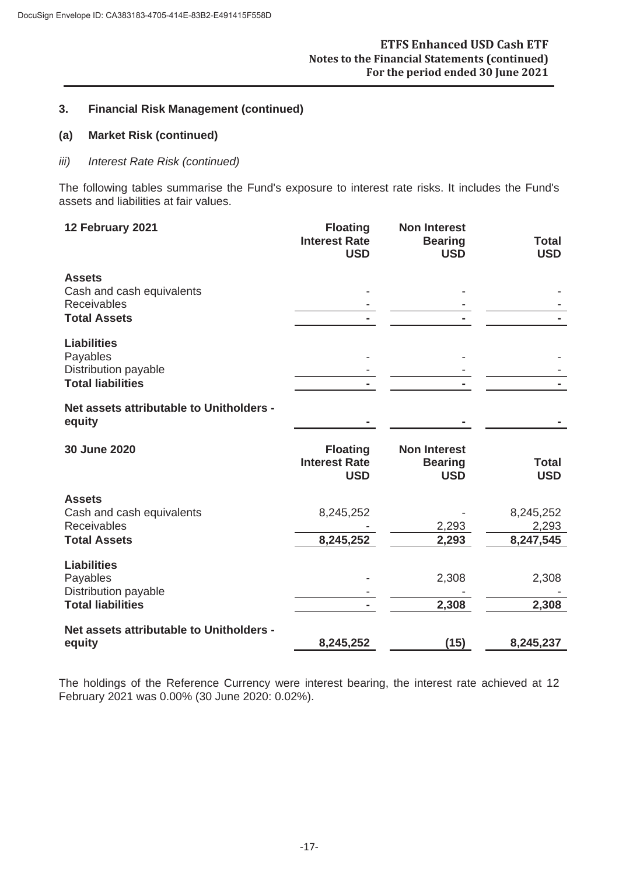#### **(a) Market Risk (continued)**

#### *iii) Interest Rate Risk (continued)*

The following tables summarise the Fund's exposure to interest rate risks. It includes the Fund's assets and liabilities at fair values.

| 12 February 2021                                                                        | <b>Floating</b><br><b>Interest Rate</b><br><b>USD</b> | <b>Non Interest</b><br><b>Bearing</b><br><b>USD</b> | <b>Total</b><br><b>USD</b>      |
|-----------------------------------------------------------------------------------------|-------------------------------------------------------|-----------------------------------------------------|---------------------------------|
| <b>Assets</b><br>Cash and cash equivalents<br><b>Receivables</b><br><b>Total Assets</b> |                                                       |                                                     |                                 |
| <b>Liabilities</b><br>Payables<br>Distribution payable<br><b>Total liabilities</b>      |                                                       |                                                     |                                 |
| Net assets attributable to Unitholders -<br>equity                                      |                                                       |                                                     |                                 |
| 30 June 2020                                                                            | <b>Floating</b><br><b>Interest Rate</b><br><b>USD</b> | <b>Non Interest</b><br><b>Bearing</b><br><b>USD</b> | <b>Total</b><br><b>USD</b>      |
| <b>Assets</b><br>Cash and cash equivalents<br><b>Receivables</b><br><b>Total Assets</b> | 8,245,252<br>8,245,252                                | 2,293<br>2,293                                      | 8,245,252<br>2,293<br>8,247,545 |
| <b>Liabilities</b><br>Payables<br>Distribution payable<br><b>Total liabilities</b>      |                                                       | 2,308<br>2,308                                      | 2,308<br>2,308                  |
|                                                                                         |                                                       |                                                     |                                 |

The holdings of the Reference Currency were interest bearing, the interest rate achieved at 12 February 2021 was 0.00% (30 June 2020: 0.02%).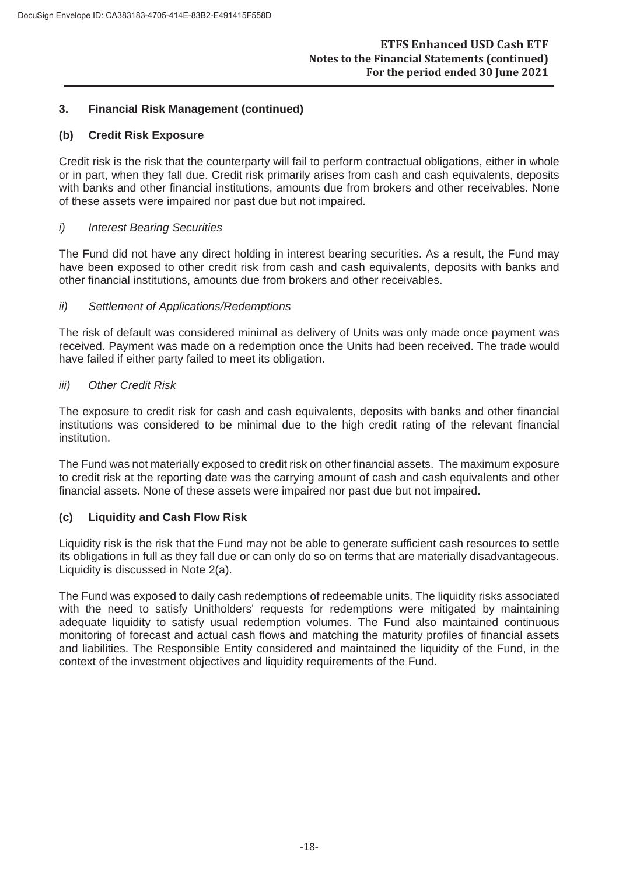#### **(b) Credit Risk Exposure**

Credit risk is the risk that the counterparty will fail to perform contractual obligations, either in whole or in part, when they fall due. Credit risk primarily arises from cash and cash equivalents, deposits with banks and other financial institutions, amounts due from brokers and other receivables. None of these assets were impaired nor past due but not impaired.

#### *i) Interest Bearing Securities*

The Fund did not have any direct holding in interest bearing securities. As a result, the Fund may have been exposed to other credit risk from cash and cash equivalents, deposits with banks and other financial institutions, amounts due from brokers and other receivables.

#### *ii) Settlement of Applications/Redemptions*

The risk of default was considered minimal as delivery of Units was only made once payment was received. Payment was made on a redemption once the Units had been received. The trade would have failed if either party failed to meet its obligation.

#### *iii) Other Credit Risk*

The exposure to credit risk for cash and cash equivalents, deposits with banks and other financial institutions was considered to be minimal due to the high credit rating of the relevant financial institution.

The Fund was not materially exposed to credit risk on other financial assets. The maximum exposure to credit risk at the reporting date was the carrying amount of cash and cash equivalents and other financial assets. None of these assets were impaired nor past due but not impaired.

#### **(c) Liquidity and Cash Flow Risk**

Liquidity risk is the risk that the Fund may not be able to generate sufficient cash resources to settle its obligations in full as they fall due or can only do so on terms that are materially disadvantageous. Liquidity is discussed in Note 2(a).

The Fund was exposed to daily cash redemptions of redeemable units. The liquidity risks associated with the need to satisfy Unitholders' requests for redemptions were mitigated by maintaining adequate liquidity to satisfy usual redemption volumes. The Fund also maintained continuous monitoring of forecast and actual cash flows and matching the maturity profiles of financial assets and liabilities. The Responsible Entity considered and maintained the liquidity of the Fund, in the context of the investment objectives and liquidity requirements of the Fund.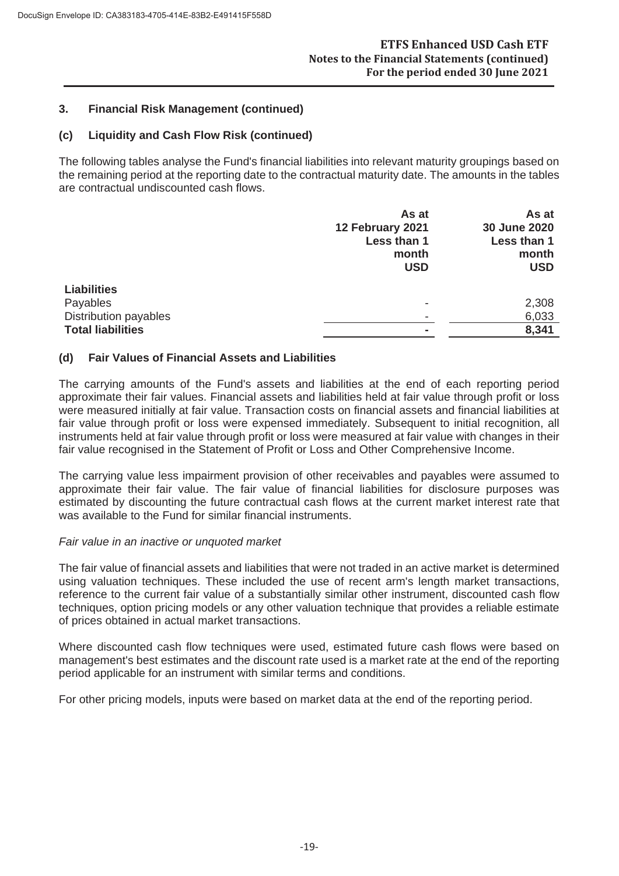# **(c) Liquidity and Cash Flow Risk (continued)**

The following tables analyse the Fund's financial liabilities into relevant maturity groupings based on the remaining period at the reporting date to the contractual maturity date. The amounts in the tables are contractual undiscounted cash flows.

|                          | As at                    | As at        |
|--------------------------|--------------------------|--------------|
|                          | 12 February 2021         | 30 June 2020 |
|                          | Less than 1              | Less than 1  |
|                          | month                    | month        |
|                          | <b>USD</b>               | <b>USD</b>   |
| <b>Liabilities</b>       |                          |              |
|                          |                          |              |
| Payables                 | $\overline{\phantom{a}}$ | 2,308        |
| Distribution payables    | $\overline{\phantom{a}}$ | 6,033        |
| <b>Total liabilities</b> |                          | 8,341        |

# **(d) Fair Values of Financial Assets and Liabilities**

The carrying amounts of the Fund's assets and liabilities at the end of each reporting period approximate their fair values. Financial assets and liabilities held at fair value through profit or loss were measured initially at fair value. Transaction costs on financial assets and financial liabilities at fair value through profit or loss were expensed immediately. Subsequent to initial recognition, all instruments held at fair value through profit or loss were measured at fair value with changes in their fair value recognised in the Statement of Profit or Loss and Other Comprehensive Income.

The carrying value less impairment provision of other receivables and payables were assumed to approximate their fair value. The fair value of financial liabilities for disclosure purposes was estimated by discounting the future contractual cash flows at the current market interest rate that was available to the Fund for similar financial instruments.

#### *Fair value in an inactive or unquoted market*

The fair value of financial assets and liabilities that were not traded in an active market is determined using valuation techniques. These included the use of recent arm's length market transactions, reference to the current fair value of a substantially similar other instrument, discounted cash flow techniques, option pricing models or any other valuation technique that provides a reliable estimate of prices obtained in actual market transactions.

Where discounted cash flow techniques were used, estimated future cash flows were based on management's best estimates and the discount rate used is a market rate at the end of the reporting period applicable for an instrument with similar terms and conditions.

For other pricing models, inputs were based on market data at the end of the reporting period.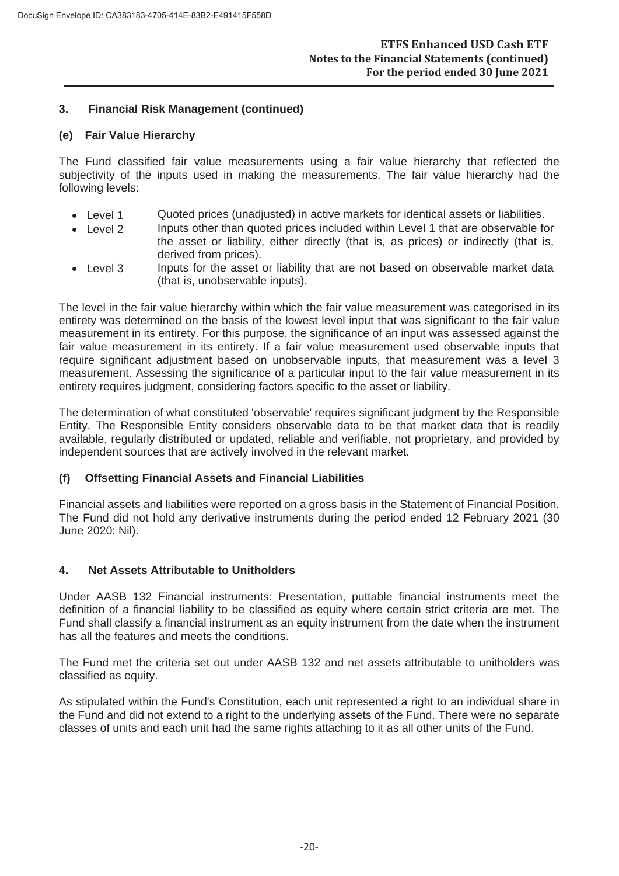#### **(e) Fair Value Hierarchy**

The Fund classified fair value measurements using a fair value hierarchy that reflected the subjectivity of the inputs used in making the measurements. The fair value hierarchy had the following levels:

- Level 1 Quoted prices (unadjusted) in active markets for identical assets or liabilities.
- Level 2 Inputs other than quoted prices included within Level 1 that are observable for the asset or liability, either directly (that is, as prices) or indirectly (that is, derived from prices).
- Level 3 Inputs for the asset or liability that are not based on observable market data (that is, unobservable inputs).

The level in the fair value hierarchy within which the fair value measurement was categorised in its entirety was determined on the basis of the lowest level input that was significant to the fair value measurement in its entirety. For this purpose, the significance of an input was assessed against the fair value measurement in its entirety. If a fair value measurement used observable inputs that require significant adjustment based on unobservable inputs, that measurement was a level 3 measurement. Assessing the significance of a particular input to the fair value measurement in its entirety requires judgment, considering factors specific to the asset or liability.

The determination of what constituted 'observable' requires significant judgment by the Responsible Entity. The Responsible Entity considers observable data to be that market data that is readily available, regularly distributed or updated, reliable and verifiable, not proprietary, and provided by independent sources that are actively involved in the relevant market.

# **(f) Offsetting Financial Assets and Financial Liabilities**

Financial assets and liabilities were reported on a gross basis in the Statement of Financial Position. The Fund did not hold any derivative instruments during the period ended 12 February 2021 (30 June 2020: Nil).

#### **4. Net Assets Attributable to Unitholders**

Under AASB 132 Financial instruments: Presentation, puttable financial instruments meet the definition of a financial liability to be classified as equity where certain strict criteria are met. The Fund shall classify a financial instrument as an equity instrument from the date when the instrument has all the features and meets the conditions.

The Fund met the criteria set out under AASB 132 and net assets attributable to unitholders was classified as equity.

As stipulated within the Fund's Constitution, each unit represented a right to an individual share in the Fund and did not extend to a right to the underlying assets of the Fund. There were no separate classes of units and each unit had the same rights attaching to it as all other units of the Fund.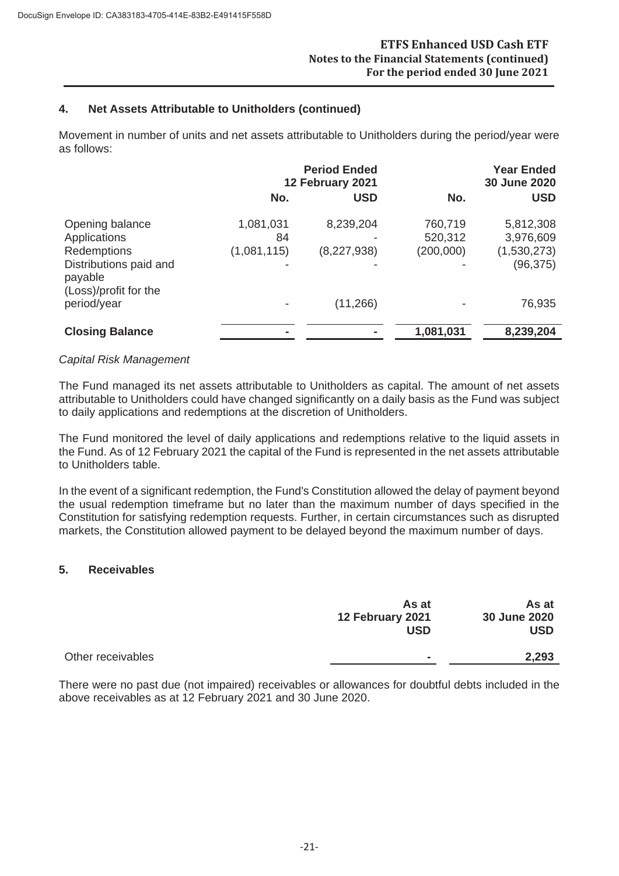# **4. Net Assets Attributable to Unitholders (continued)**

Movement in number of units and net assets attributable to Unitholders during the period/year were as follows:

|                                                                                                              |                                | <b>Period Ended</b><br>12 February 2021 |                                 | <b>Year Ended</b><br>30 June 2020                  |  |
|--------------------------------------------------------------------------------------------------------------|--------------------------------|-----------------------------------------|---------------------------------|----------------------------------------------------|--|
|                                                                                                              | No.                            | <b>USD</b>                              | No.                             | <b>USD</b>                                         |  |
| Opening balance<br>Applications<br>Redemptions<br>Distributions paid and<br>payable<br>(Loss)/profit for the | 1,081,031<br>84<br>(1,081,115) | 8,239,204<br>(8,227,938)                | 760,719<br>520,312<br>(200,000) | 5,812,308<br>3,976,609<br>(1,530,273)<br>(96, 375) |  |
| period/year                                                                                                  |                                | (11, 266)                               |                                 | 76,935                                             |  |
| <b>Closing Balance</b>                                                                                       |                                |                                         | 1,081,031                       | 8,239,204                                          |  |

#### *Capital Risk Management*

The Fund managed its net assets attributable to Unitholders as capital. The amount of net assets attributable to Unitholders could have changed significantly on a daily basis as the Fund was subject to daily applications and redemptions at the discretion of Unitholders.

The Fund monitored the level of daily applications and redemptions relative to the liquid assets in the Fund. As of 12 February 2021 the capital of the Fund is represented in the net assets attributable to Unitholders table.

In the event of a significant redemption, the Fund's Constitution allowed the delay of payment beyond the usual redemption timeframe but no later than the maximum number of days specified in the Constitution for satisfying redemption requests. Further, in certain circumstances such as disrupted markets, the Constitution allowed payment to be delayed beyond the maximum number of days.

#### **5. Receivables**

|                   | As at<br>12 February 2021 | As at<br>30 June 2020 |
|-------------------|---------------------------|-----------------------|
|                   | <b>USD</b>                | USD                   |
| Other receivables | $\blacksquare$            | 2,293                 |

There were no past due (not impaired) receivables or allowances for doubtful debts included in the above receivables as at 12 February 2021 and 30 June 2020.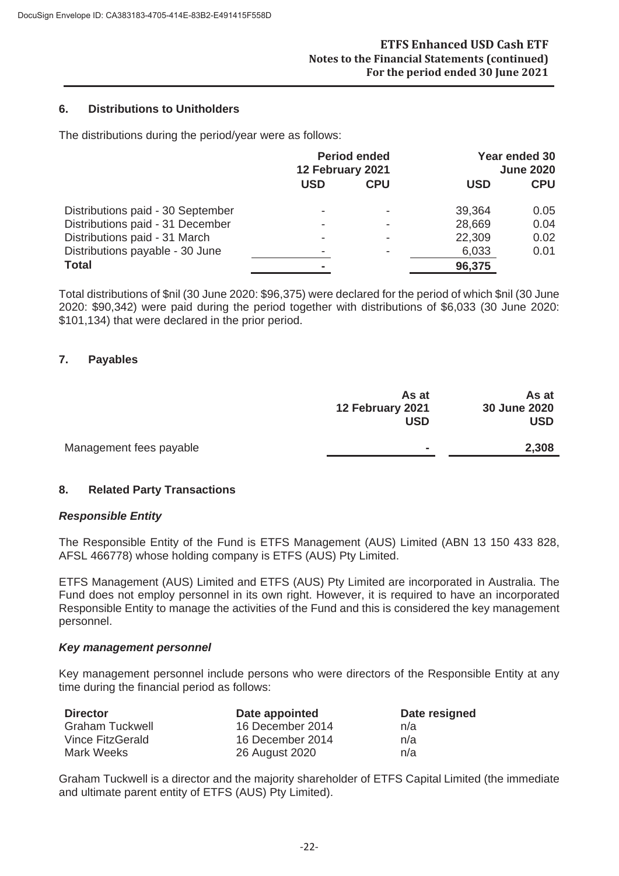#### **6. Distributions to Unitholders**

The distributions during the period/year were as follows:

|                                   | <b>Period ended</b><br>12 February 2021 |            | Year ended 30<br><b>June 2020</b> |            |
|-----------------------------------|-----------------------------------------|------------|-----------------------------------|------------|
|                                   | <b>USD</b>                              | <b>CPU</b> | <b>USD</b>                        | <b>CPU</b> |
| Distributions paid - 30 September |                                         |            | 39,364                            | 0.05       |
| Distributions paid - 31 December  |                                         |            | 28,669                            | 0.04       |
| Distributions paid - 31 March     |                                         |            | 22,309                            | 0.02       |
| Distributions payable - 30 June   |                                         |            | 6,033                             | 0.01       |
| <b>Total</b>                      |                                         |            | 96,375                            |            |

Total distributions of \$nil (30 June 2020: \$96,375) were declared for the period of which \$nil (30 June 2020: \$90,342) were paid during the period together with distributions of \$6,033 (30 June 2020: \$101,134) that were declared in the prior period.

#### **7. Payables**

|                         | As at<br>12 February 2021<br><b>USD</b> | As at<br>30 June 2020<br><b>USD</b> |
|-------------------------|-----------------------------------------|-------------------------------------|
| Management fees payable | $\equiv$                                | 2,308                               |

#### **8. Related Party Transactions**

#### *Responsible Entity*

The Responsible Entity of the Fund is ETFS Management (AUS) Limited (ABN 13 150 433 828, AFSL 466778) whose holding company is ETFS (AUS) Pty Limited.

ETFS Management (AUS) Limited and ETFS (AUS) Pty Limited are incorporated in Australia. The Fund does not employ personnel in its own right. However, it is required to have an incorporated Responsible Entity to manage the activities of the Fund and this is considered the key management personnel.

#### *Key management personnel*

Key management personnel include persons who were directors of the Responsible Entity at any time during the financial period as follows:

| <b>Director</b>        | Date appointed   | Date resigned |
|------------------------|------------------|---------------|
| <b>Graham Tuckwell</b> | 16 December 2014 | n/a           |
| Vince FitzGerald       | 16 December 2014 | n/a           |
| Mark Weeks             | 26 August 2020   | n/a           |

Graham Tuckwell is a director and the majority shareholder of ETFS Capital Limited (the immediate and ultimate parent entity of ETFS (AUS) Pty Limited).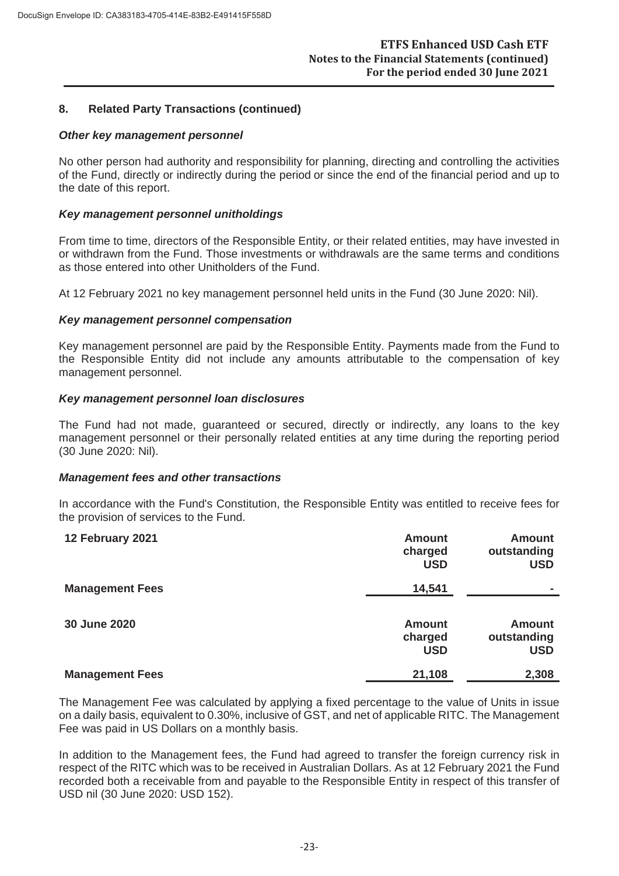#### **8. Related Party Transactions (continued)**

#### *Other key management personnel*

No other person had authority and responsibility for planning, directing and controlling the activities of the Fund, directly or indirectly during the period or since the end of the financial period and up to the date of this report.

#### *Key management personnel unitholdings*

From time to time, directors of the Responsible Entity, or their related entities, may have invested in or withdrawn from the Fund. Those investments or withdrawals are the same terms and conditions as those entered into other Unitholders of the Fund.

At 12 February 2021 no key management personnel held units in the Fund (30 June 2020: Nil).

#### *Key management personnel compensation*

Key management personnel are paid by the Responsible Entity. Payments made from the Fund to the Responsible Entity did not include any amounts attributable to the compensation of key management personnel.

#### *Key management personnel loan disclosures*

The Fund had not made, guaranteed or secured, directly or indirectly, any loans to the key management personnel or their personally related entities at any time during the reporting period (30 June 2020: Nil).

#### *Management fees and other transactions*

In accordance with the Fund's Constitution, the Responsible Entity was entitled to receive fees for the provision of services to the Fund.

| 12 February 2021       | <b>Amount</b><br>charged<br><b>USD</b> | <b>Amount</b><br>outstanding<br><b>USD</b> |
|------------------------|----------------------------------------|--------------------------------------------|
| <b>Management Fees</b> | 14,541                                 | ۰                                          |
| 30 June 2020           | <b>Amount</b><br>charged<br><b>USD</b> | <b>Amount</b><br>outstanding<br><b>USD</b> |
| <b>Management Fees</b> | 21,108                                 | 2,308                                      |

The Management Fee was calculated by applying a fixed percentage to the value of Units in issue on a daily basis, equivalent to 0.30%, inclusive of GST, and net of applicable RITC. The Management Fee was paid in US Dollars on a monthly basis.

In addition to the Management fees, the Fund had agreed to transfer the foreign currency risk in respect of the RITC which was to be received in Australian Dollars. As at 12 February 2021 the Fund recorded both a receivable from and payable to the Responsible Entity in respect of this transfer of USD nil (30 June 2020: USD 152).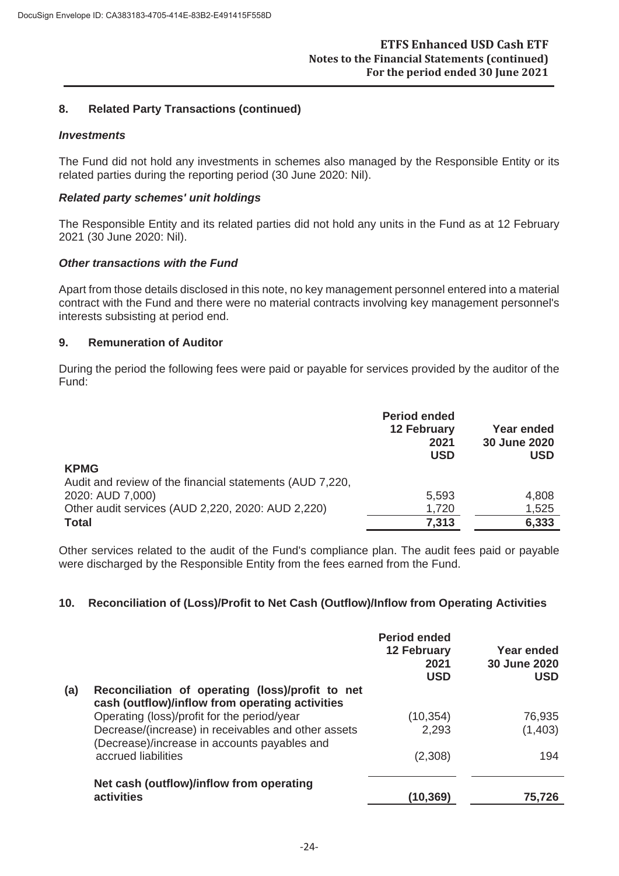#### **8. Related Party Transactions (continued)**

#### *Investments*

The Fund did not hold any investments in schemes also managed by the Responsible Entity or its related parties during the reporting period (30 June 2020: Nil).

#### *Related party schemes' unit holdings*

The Responsible Entity and its related parties did not hold any units in the Fund as at 12 February 2021 (30 June 2020: Nil).

#### *Other transactions with the Fund*

Apart from those details disclosed in this note, no key management personnel entered into a material contract with the Fund and there were no material contracts involving key management personnel's interests subsisting at period end.

#### **9. Remuneration of Auditor**

During the period the following fees were paid or payable for services provided by the auditor of the Fund:

|                                                          | <b>Period ended</b><br><b>12 February</b><br>2021<br><b>USD</b> | <b>Year ended</b><br>30 June 2020<br><b>USD</b> |
|----------------------------------------------------------|-----------------------------------------------------------------|-------------------------------------------------|
| <b>KPMG</b>                                              |                                                                 |                                                 |
| Audit and review of the financial statements (AUD 7,220, |                                                                 |                                                 |
| 2020: AUD 7,000)                                         | 5,593                                                           | 4,808                                           |
| Other audit services (AUD 2,220, 2020: AUD 2,220)        | 1,720                                                           | 1,525                                           |
| <b>Total</b>                                             | 7,313                                                           | 6,333                                           |

Other services related to the audit of the Fund's compliance plan. The audit fees paid or payable were discharged by the Responsible Entity from the fees earned from the Fund.

#### **10. Reconciliation of (Loss)/Profit to Net Cash (Outflow)/Inflow from Operating Activities**

|     |                                                                                                     | <b>Period ended</b><br><b>12 February</b><br>2021<br><b>USD</b> | Year ended<br>30 June 2020<br><b>USD</b> |
|-----|-----------------------------------------------------------------------------------------------------|-----------------------------------------------------------------|------------------------------------------|
| (a) | Reconciliation of operating (loss)/profit to net<br>cash (outflow)/inflow from operating activities |                                                                 |                                          |
|     | Operating (loss)/profit for the period/year                                                         | (10, 354)                                                       | 76,935                                   |
|     | Decrease/(increase) in receivables and other assets<br>(Decrease)/increase in accounts payables and | 2,293                                                           | (1,403)                                  |
|     | accrued liabilities                                                                                 | (2,308)                                                         | 194                                      |
|     | Net cash (outflow)/inflow from operating<br>activities                                              | (10, 369)                                                       | 75.726                                   |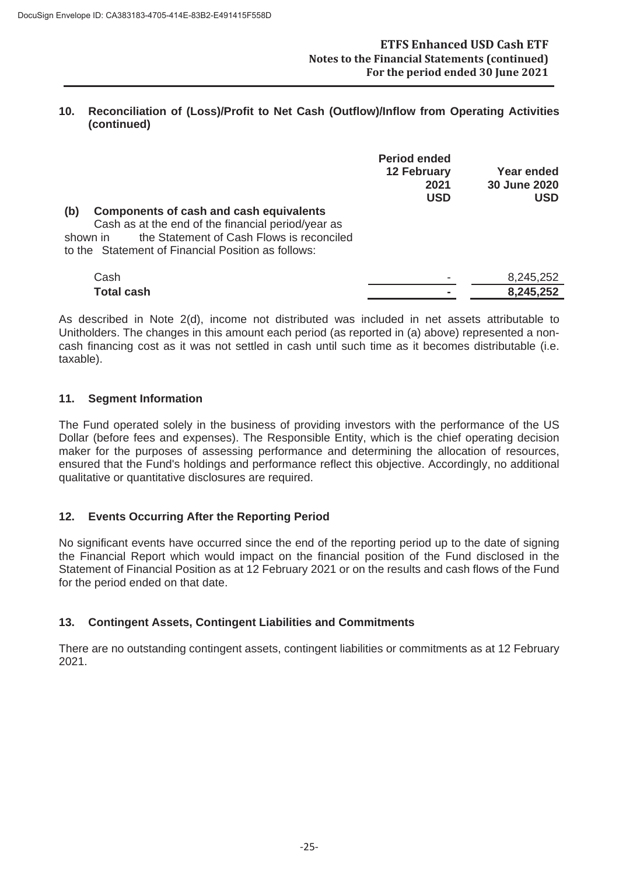#### **10. Reconciliation of (Loss)/Profit to Net Cash (Outflow)/Inflow from Operating Activities (continued)**

| <b>Components of cash and cash equivalents</b><br>(b)<br>Cash as at the end of the financial period/year as | <b>Period ended</b><br><b>12 February</b><br>2021<br><b>USD</b> | Year ended<br><b>30 June 2020</b><br><b>USD</b> |
|-------------------------------------------------------------------------------------------------------------|-----------------------------------------------------------------|-------------------------------------------------|
| the Statement of Cash Flows is reconciled<br>shown in<br>to the Statement of Financial Position as follows: |                                                                 |                                                 |
| Cash                                                                                                        |                                                                 | 8,245,252                                       |
| <b>Total cash</b>                                                                                           |                                                                 | 8,245,252                                       |

As described in Note 2(d), income not distributed was included in net assets attributable to Unitholders. The changes in this amount each period (as reported in (a) above) represented a noncash financing cost as it was not settled in cash until such time as it becomes distributable (i.e. taxable).

# **11. Segment Information**

The Fund operated solely in the business of providing investors with the performance of the US Dollar (before fees and expenses). The Responsible Entity, which is the chief operating decision maker for the purposes of assessing performance and determining the allocation of resources, ensured that the Fund's holdings and performance reflect this objective. Accordingly, no additional qualitative or quantitative disclosures are required.

# **12. Events Occurring After the Reporting Period**

No significant events have occurred since the end of the reporting period up to the date of signing the Financial Report which would impact on the financial position of the Fund disclosed in the Statement of Financial Position as at 12 February 2021 or on the results and cash flows of the Fund for the period ended on that date.

#### **13. Contingent Assets, Contingent Liabilities and Commitments**

There are no outstanding contingent assets, contingent liabilities or commitments as at 12 February 2021.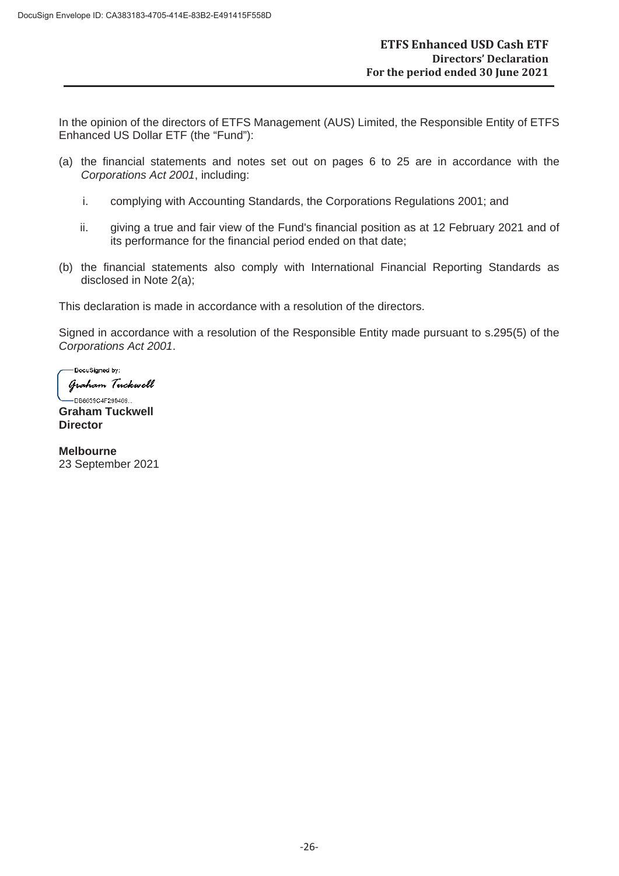In the opinion of the directors of ETFS Management (AUS) Limited, the Responsible Entity of ETFS Enhanced US Dollar ETF (the "Fund"):

- (a) the financial statements and notes set out on pages 6 to 25 are in accordance with the *Corporations Act 2001*, including:
	- i. complying with Accounting Standards, the Corporations Regulations 2001; and
	- ii. giving a true and fair view of the Fund's financial position as at 12 February 2021 and of its performance for the financial period ended on that date;
- (b) the financial statements also comply with International Financial Reporting Standards as disclosed in Note 2(a);

This declaration is made in accordance with a resolution of the directors.

Signed in accordance with a resolution of the Responsible Entity made pursuant to s.295(5) of the *Corporations Act 2001*.

-<br>DocuSigned by:

Graham Tuckwell

-DB8639C4F290469... **Graham Tuckwell Director**

**Melbourne** 23 September 2021

-26-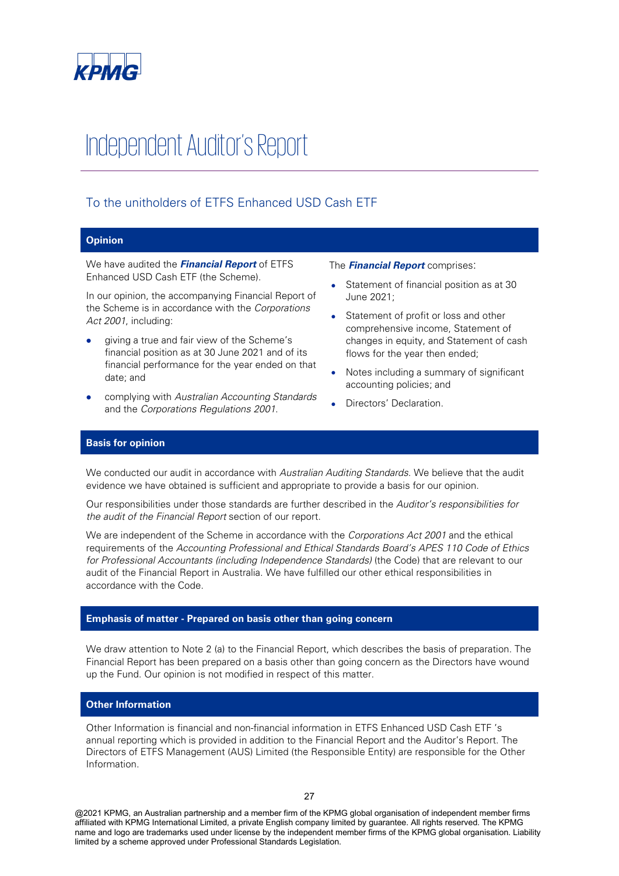

# Independent Auditor's Report

# To the unitholders of ETFS Enhanced USD Cash ETF

#### **Opinion**

We have audited the **Financial Report** of ETFS Enhanced USD Cash ETF (the Scheme).

In our opinion, the accompanying Financial Report of the Scheme is in accordance with the Corporations Act 2001, including:

- giving a true and fair view of the Scheme's financial position as at 30 June 2021 and of its financial performance for the year ended on that date; and
- complying with Australian Accounting Standards and the Corporations Regulations 2001.

The **Financial Report** comprises:

- Statement of financial position as at 30 June 2021;
- Statement of profit or loss and other comprehensive income, Statement of changes in equity, and Statement of cash flows for the year then ended;
- Notes including a summary of significant accounting policies; and
- Directors' Declaration.

#### **Basis for opinion**

We conducted our audit in accordance with Australian Auditing Standards. We believe that the audit evidence we have obtained is sufficient and appropriate to provide a basis for our opinion.

Our responsibilities under those standards are further described in the Auditor's responsibilities for the audit of the Financial Report section of our report.

We are independent of the Scheme in accordance with the Corporations Act 2001 and the ethical requirements of the Accounting Professional and Ethical Standards Board's APES 110 Code of Ethics for Professional Accountants (including Independence Standards) (the Code) that are relevant to our audit of the Financial Report in Australia. We have fulfilled our other ethical responsibilities in accordance with the Code.

#### **Emphasis of matter - Prepared on basis other than going concern**

We draw attention to Note 2 (a) to the Financial Report, which describes the basis of preparation. The Financial Report has been prepared on a basis other than going concern as the Directors have wound up the Fund. Our opinion is not modified in respect of this matter.

#### **Other Information**

Other Information is financial and non-financial information in ETFS Enhanced USD Cash ETF 's annual reporting which is provided in addition to the Financial Report and the Auditor's Report. The Directors of ETFS Management (AUS) Limited (the Responsible Entity) are responsible for the Other Information.

@2021 KPMG, an Australian partnership and a member firm of the KPMG global organisation of independent member firms affiliated with KPMG International Limited, a private English company limited by guarantee. All rights reserved. The KPMG name and logo are trademarks used under license by the independent member firms of the KPMG global organisation. Liability limited by a scheme approved under Professional Standards Legislation.